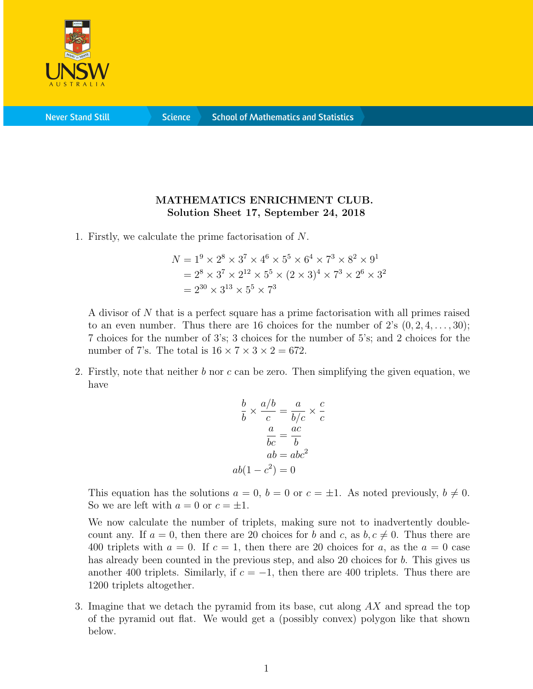

**Never Stand Still** 

**Science** 

## MATHEMATICS ENRICHMENT CLUB. Solution Sheet 17, September 24, 2018

1. Firstly, we calculate the prime factorisation of N.

$$
N = 19 \times 28 \times 37 \times 46 \times 55 \times 64 \times 73 \times 82 \times 91
$$
  
= 2<sup>8</sup> \times 3<sup>7</sup> \times 2<sup>12</sup> \times 5<sup>5</sup> \times (2 \times 3)<sup>4</sup> \times 7<sup>3</sup> \times 2<sup>6</sup> \times 3<sup>2</sup>  
= 2<sup>30</sup> \times 3<sup>13</sup> \times 5<sup>5</sup> \times 7<sup>3</sup>

A divisor of N that is a perfect square has a prime factorisation with all primes raised to an even number. Thus there are 16 choices for the number of 2's  $(0, 2, 4, \ldots, 30)$ ; 7 choices for the number of 3's; 3 choices for the number of 5's; and 2 choices for the number of 7's. The total is  $16 \times 7 \times 3 \times 2 = 672$ .

2. Firstly, note that neither  $b$  nor  $c$  can be zero. Then simplifying the given equation, we have

$$
\frac{b}{b} \times \frac{a/b}{c} = \frac{a}{b/c} \times \frac{c}{c}
$$

$$
\frac{a}{bc} = \frac{ac}{b}
$$

$$
ab = abc^2
$$

$$
ab(1 - c^2) = 0
$$

This equation has the solutions  $a = 0$ ,  $b = 0$  or  $c = \pm 1$ . As noted previously,  $b \neq 0$ . So we are left with  $a = 0$  or  $c = \pm 1$ .

We now calculate the number of triplets, making sure not to inadvertently doublecount any. If  $a = 0$ , then there are 20 choices for b and c, as  $b, c \neq 0$ . Thus there are 400 triplets with  $a = 0$ . If  $c = 1$ , then there are 20 choices for a, as the  $a = 0$  case has already been counted in the previous step, and also 20 choices for b. This gives us another 400 triplets. Similarly, if  $c = -1$ , then there are 400 triplets. Thus there are 1200 triplets altogether.

3. Imagine that we detach the pyramid from its base, cut along AX and spread the top of the pyramid out flat. We would get a (possibly convex) polygon like that shown below.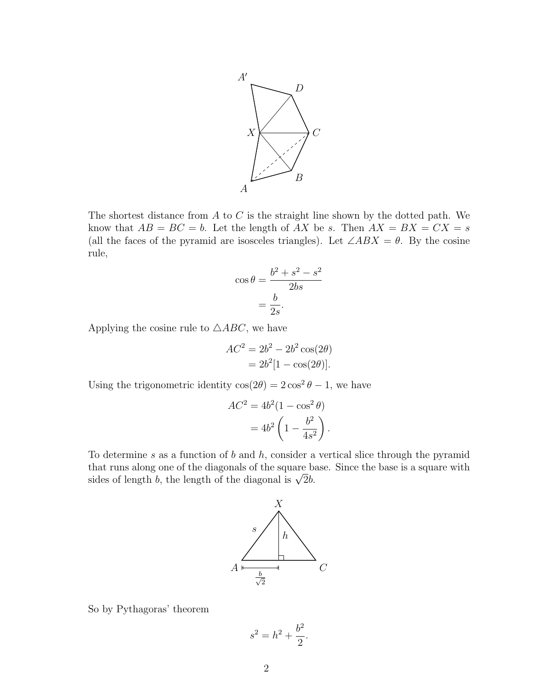

The shortest distance from A to C is the straight line shown by the dotted path. We know that  $AB = BC = b$ . Let the length of AX be s. Then  $AX = BX = CX = s$ (all the faces of the pyramid are isosceles triangles). Let  $\angle ABX = \theta$ . By the cosine rule,

$$
\cos \theta = \frac{b^2 + s^2 - s^2}{2bs}
$$

$$
= \frac{b}{2s}.
$$

Applying the cosine rule to  $\triangle ABC$ , we have

$$
AC2 = 2b2 - 2b2 \cos(2\theta)
$$

$$
= 2b2[1 - \cos(2\theta)].
$$

Using the trigonometric identity  $cos(2\theta) = 2 cos^2 \theta - 1$ , we have

$$
AC2 = 4b2(1 - \cos2 \theta)
$$

$$
= 4b2 \left(1 - \frac{b2}{4s2}\right).
$$

To determine s as a function of b and h, consider a vertical slice through the pyramid that runs along one of the diagonals of the square base. Since the base is a square with that runs along one of the diagonals of the square b:<br>sides of length b, the length of the diagonal is  $\sqrt{2}b$ .



So by Pythagoras' theorem

$$
s^2 = h^2 + \frac{b^2}{2}.
$$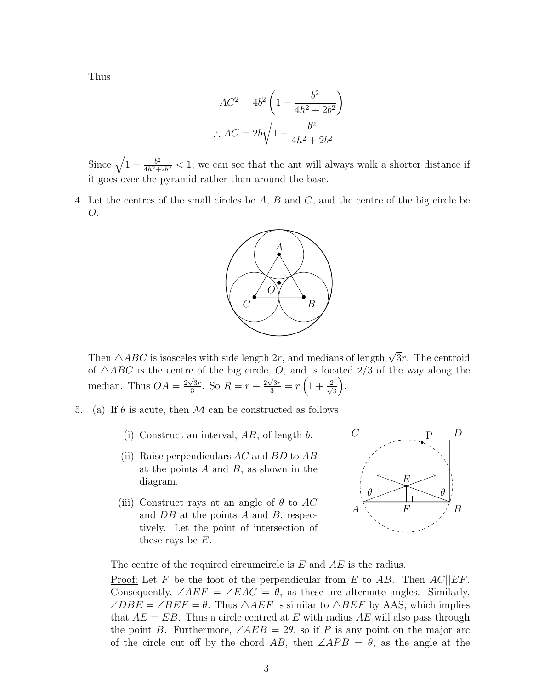Thus

$$
AC^{2} = 4b^{2} \left( 1 - \frac{b^{2}}{4h^{2} + 2b^{2}} \right)
$$

$$
\therefore AC = 2b \sqrt{1 - \frac{b^{2}}{4h^{2} + 2b^{2}}}.
$$

Since  $\sqrt{1-\frac{b^2}{4b^2+}}$  $\frac{b^2}{4h^2+2b^2}$  < 1, we can see that the ant will always walk a shorter distance if it goes over the pyramid rather than around the base.

4. Let the centres of the small circles be A, B and C, and the centre of the big circle be O.



Then  $\triangle ABC$  is isosceles with side length  $2r$ , and medians of length  $\sqrt{3}r$ . The centroid of  $\triangle ABC$  is the centre of the big circle, O, and is located 2/3 of the way along the median. Thus  $OA = \frac{2\sqrt{3}r}{3}$  $\frac{\sqrt{3}r}{3}$ . So  $R = r + \frac{2\sqrt{3}r}{3} = r\left(1 + \frac{2}{\sqrt{3}}\right)$ 3 .

- 5. (a) If  $\theta$  is acute, then M can be constructed as follows:
	- (i) Construct an interval,  $AB$ , of length b.
	- (ii) Raise perpendiculars  $AC$  and  $BD$  to  $AB$ at the points  $A$  and  $B$ , as shown in the diagram.
	- (iii) Construct rays at an angle of  $\theta$  to AC and  $DB$  at the points A and B, respectively. Let the point of intersection of these rays be  $E$ .



The centre of the required circumcircle is E and AE is the radius.

Proof: Let F be the foot of the perpendicular from E to AB. Then  $AC||EF$ . Consequently,  $\angle AEF = \angle EAC = \theta$ , as these are alternate angles. Similarly,  $\angle DBE = \angle BEF = \theta$ . Thus  $\triangle AEF$  is similar to  $\triangle BEF$  by AAS, which implies that  $AE = EB$ . Thus a circle centred at E with radius AE will also pass through the point B. Furthermore,  $\angle AEB = 2\theta$ , so if P is any point on the major arc of the circle cut off by the chord AB, then  $\angle APB = \theta$ , as the angle at the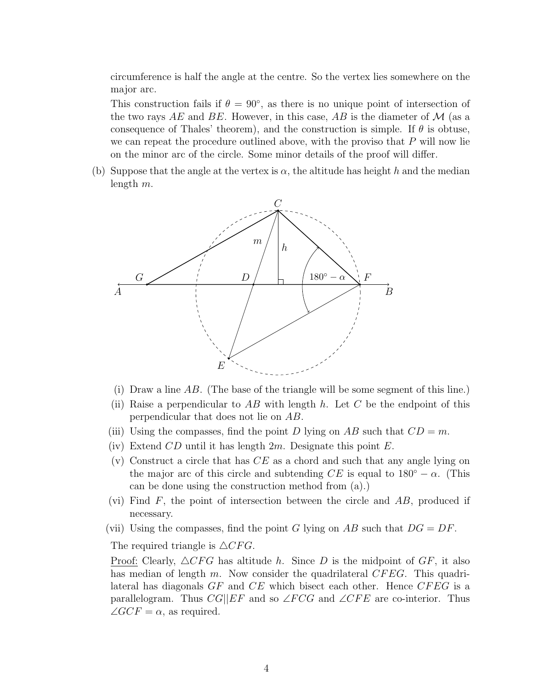circumference is half the angle at the centre. So the vertex lies somewhere on the major arc.

This construction fails if  $\theta = 90^{\circ}$ , as there is no unique point of intersection of the two rays AE and BE. However, in this case, AB is the diameter of  $\mathcal M$  (as a consequence of Thales' theorem), and the construction is simple. If  $\theta$  is obtuse, we can repeat the procedure outlined above, with the proviso that  $P$  will now lie on the minor arc of the circle. Some minor details of the proof will differ.

(b) Suppose that the angle at the vertex is  $\alpha$ , the altitude has height h and the median length m.



- (i) Draw a line  $AB$ . (The base of the triangle will be some segment of this line.)
- (ii) Raise a perpendicular to AB with length h. Let C be the endpoint of this perpendicular that does not lie on AB.
- (iii) Using the compasses, find the point D lying on AB such that  $CD = m$ .
- (iv) Extend  $CD$  until it has length  $2m$ . Designate this point  $E$ .
- (v) Construct a circle that has  $CE$  as a chord and such that any angle lying on the major arc of this circle and subtending  $CE$  is equal to  $180° - \alpha$ . (This can be done using the construction method from (a).)
- (vi) Find  $F$ , the point of intersection between the circle and  $AB$ , produced if necessary.
- (vii) Using the compasses, find the point G lying on AB such that  $DG = DF$ .

The required triangle is  $\triangle CFG$ .

Proof: Clearly,  $\triangle CFG$  has altitude h. Since D is the midpoint of GF, it also has median of length m. Now consider the quadrilateral  $CFEG$ . This quadrilateral has diagonals  $GF$  and  $CE$  which bisect each other. Hence  $CFEG$  is a parallelogram. Thus  $CG||EF$  and so  $\angle FCG$  and  $\angle CFE$  are co-interior. Thus  $\angle GCF = \alpha$ , as required.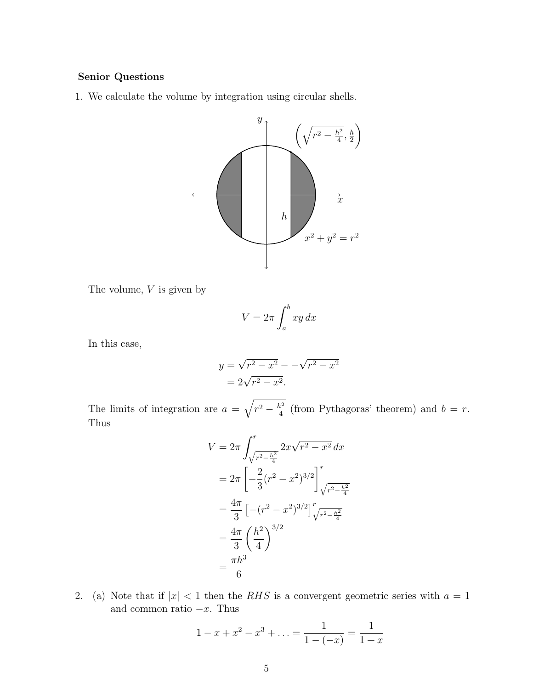## Senior Questions

1. We calculate the volume by integration using circular shells.



The volume, 
$$
V
$$
 is given by

$$
V = 2\pi \int_{a}^{b} xy \, dx
$$

In this case,

$$
y = \sqrt{r^2 - x^2} - \sqrt{r^2 - x^2}
$$
  
=  $2\sqrt{r^2 - x^2}$ .

The limits of integration are  $a = \sqrt{r^2 - \frac{h^2}{4}}$  $\frac{h^2}{4}$  (from Pythagoras' theorem) and  $b = r$ . Thus

$$
V = 2\pi \int_{\sqrt{r^2 - \frac{h^2}{4}}}^{r} 2x\sqrt{r^2 - x^2} dx
$$
  
=  $2\pi \left[ -\frac{2}{3} (r^2 - x^2)^{3/2} \right]_{\sqrt{r^2 - \frac{h^2}{4}}}^{r}$   
=  $\frac{4\pi}{3} \left[ -(r^2 - x^2)^{3/2} \right]_{\sqrt{r^2 - \frac{h^2}{4}}}^{r}$   
=  $\frac{4\pi}{3} \left( \frac{h^2}{4} \right)^{3/2}$   
=  $\frac{\pi h^3}{6}$ 

2. (a) Note that if  $|x| < 1$  then the RHS is a convergent geometric series with  $a = 1$ and common ratio  $-x$ . Thus

$$
1 - x + x2 - x3 + \dots = \frac{1}{1 - (-x)} = \frac{1}{1 + x}
$$